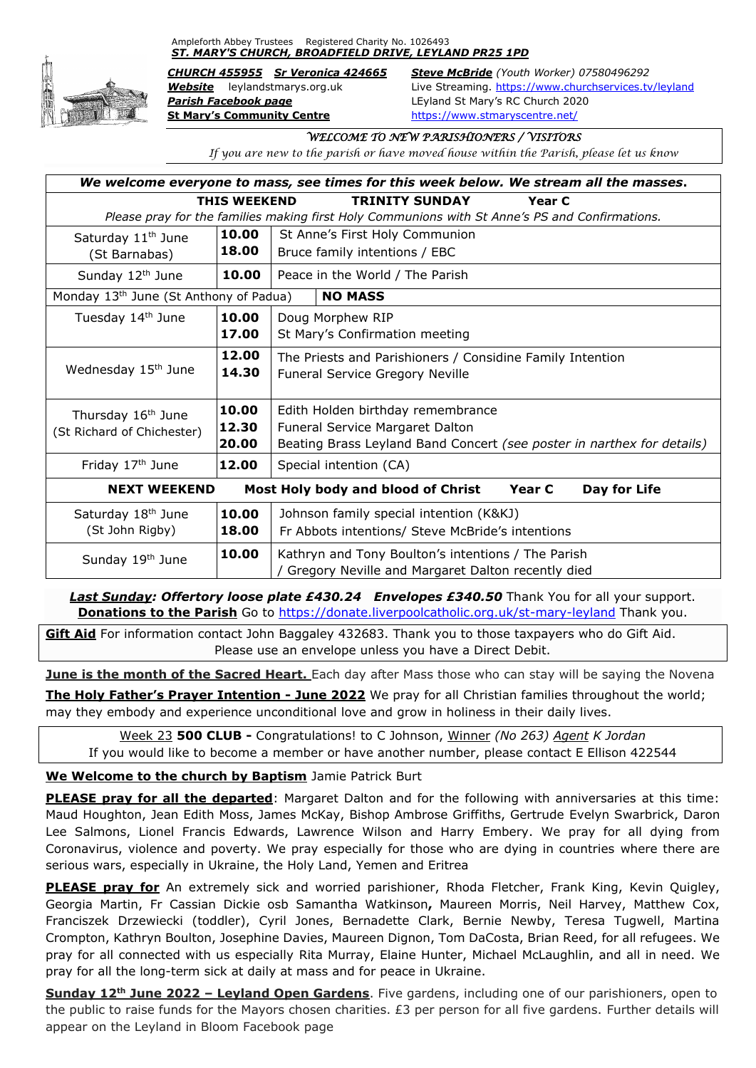Ampleforth Abbey Trustees Registered Charity No. 1026493 *ST. MARY'S CHURCH, BROADFIELD DRIVE, LEYLAND PR25 1PD*



*Parish Facebook page* LEyland St Mary's RC Church 2020 **St Mary's Community Centre** <https://www.stmaryscentre.net/>

*CHURCH 455955 Sr Veronica 424665 Steve McBride (Youth Worker) 07580496292 Website* leylandstmarys.org.uk Live Streaming.<https://www.churchservices.tv/leyland>

## *WELCOME TO NEW PARISHIONERS / VISITORS*

*If you are new to the parish or have moved house within the Parish, please let us know*

| We welcome everyone to mass, see times for this week below. We stream all the masses.          |       |                                                                                                           |
|------------------------------------------------------------------------------------------------|-------|-----------------------------------------------------------------------------------------------------------|
| <b>TRINITY SUNDAY</b><br><b>THIS WEEKEND</b><br>Year C                                         |       |                                                                                                           |
| Please pray for the families making first Holy Communions with St Anne's PS and Confirmations. |       |                                                                                                           |
| Saturday 11 <sup>th</sup> June                                                                 | 10.00 | St Anne's First Holy Communion                                                                            |
| (St Barnabas)                                                                                  | 18.00 | Bruce family intentions / EBC                                                                             |
| Sunday 12 <sup>th</sup> June                                                                   | 10.00 | Peace in the World / The Parish                                                                           |
| <b>NO MASS</b><br>Monday 13 <sup>th</sup> June (St Anthony of Padua)                           |       |                                                                                                           |
| Tuesday 14th June                                                                              | 10.00 | Doug Morphew RIP                                                                                          |
|                                                                                                | 17.00 | St Mary's Confirmation meeting                                                                            |
|                                                                                                | 12.00 | The Priests and Parishioners / Considine Family Intention                                                 |
| Wednesday 15 <sup>th</sup> June                                                                | 14.30 | Funeral Service Gregory Neville                                                                           |
|                                                                                                |       |                                                                                                           |
| Thursday 16 <sup>th</sup> June                                                                 | 10.00 | Edith Holden birthday remembrance                                                                         |
| (St Richard of Chichester)                                                                     | 12.30 | Funeral Service Margaret Dalton                                                                           |
|                                                                                                | 20.00 | Beating Brass Leyland Band Concert (see poster in narthex for details)                                    |
| Friday 17th June                                                                               | 12.00 | Special intention (CA)                                                                                    |
| Most Holy body and blood of Christ<br>Day for Life<br><b>NEXT WEEKEND</b><br>Year C            |       |                                                                                                           |
| Saturday 18 <sup>th</sup> June                                                                 | 10.00 | Johnson family special intention (K&KJ)                                                                   |
| (St John Rigby)                                                                                | 18.00 | Fr Abbots intentions/ Steve McBride's intentions                                                          |
| Sunday 19th June                                                                               | 10.00 | Kathryn and Tony Boulton's intentions / The Parish<br>/ Gregory Neville and Margaret Dalton recently died |

**Last Sunday: Offertory loose plate £430.24 Envelopes £340.50** Thank You for all your support. **Donations to the Parish** Go to<https://donate.liverpoolcatholic.org.uk/st-mary-leyland> Thank you.

**Gift Aid** For information contact John Baggaley 432683. Thank you to those taxpayers who do Gift Aid. Please use an envelope unless you have a Direct Debit.

**June is the month of the Sacred Heart.** Each day after Mass those who can stay will be saying the Novena **The Holy Father's Prayer Intention - June 2022** We pray for all Christian families throughout the world;

may they embody and experience unconditional love and grow in holiness in their daily lives. Week 23 **500 CLUB -** Congratulations! to C Johnson, Winner *(No 263) Agent K Jordan*

If you would like to become a member or have another number, please contact E Ellison 422544

**We Welcome to the church by Baptism** Jamie Patrick Burt

**PLEASE pray for all the departed**: Margaret Dalton and for the following with anniversaries at this time: Maud Houghton, Jean Edith Moss, James McKay, Bishop Ambrose Griffiths, Gertrude Evelyn Swarbrick, Daron Lee Salmons, Lionel Francis Edwards, Lawrence Wilson and Harry Embery. We pray for all dying from Coronavirus, violence and poverty. We pray especially for those who are dying in countries where there are serious wars, especially in Ukraine, the Holy Land, Yemen and Eritrea

**PLEASE pray for** An extremely sick and worried parishioner, Rhoda Fletcher, Frank King, Kevin Quigley, Georgia Martin, Fr Cassian Dickie osb Samantha Watkinson**,** Maureen Morris, Neil Harvey, Matthew Cox, Franciszek Drzewiecki (toddler), Cyril Jones, Bernadette Clark, Bernie Newby, Teresa Tugwell, Martina Crompton, Kathryn Boulton, Josephine Davies, Maureen Dignon, Tom DaCosta, Brian Reed, for all refugees. We pray for all connected with us especially Rita Murray, Elaine Hunter, Michael McLaughlin, and all in need. We pray for all the long-term sick at daily at mass and for peace in Ukraine.

**Sunday 12th June 2022 – Leyland Open Gardens**. Five gardens, including one of our parishioners, open to the public to raise funds for the Mayors chosen charities. £3 per person for all five gardens. Further details will appear on the Leyland in Bloom Facebook page